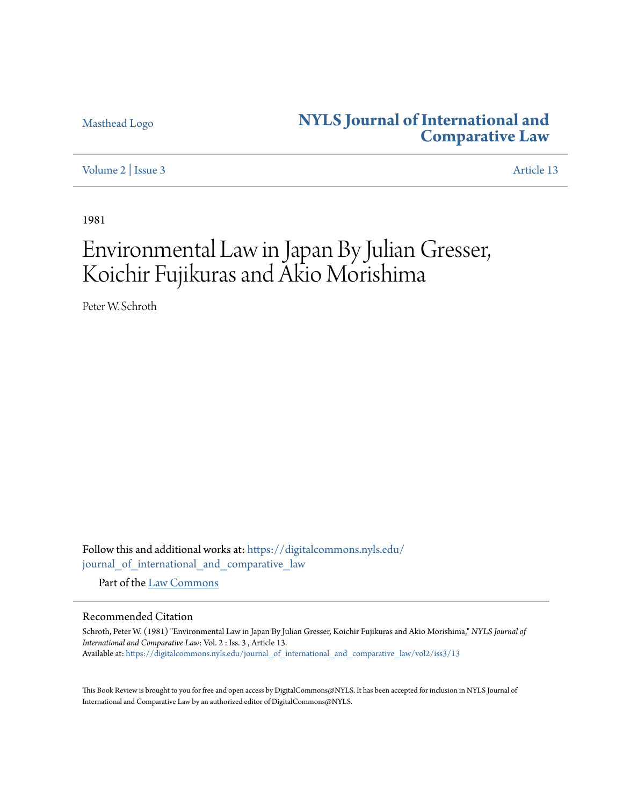## [Masthead Logo](http://www.nyls.edu/?utm_source=digitalcommons.nyls.edu%2Fjournal_of_international_and_comparative_law%2Fvol2%2Fiss3%2F13&utm_medium=PDF&utm_campaign=PDFCoverPages) **[NYLS Journal of International and](https://digitalcommons.nyls.edu/journal_of_international_and_comparative_law?utm_source=digitalcommons.nyls.edu%2Fjournal_of_international_and_comparative_law%2Fvol2%2Fiss3%2F13&utm_medium=PDF&utm_campaign=PDFCoverPages) [Comparative Law](https://digitalcommons.nyls.edu/journal_of_international_and_comparative_law?utm_source=digitalcommons.nyls.edu%2Fjournal_of_international_and_comparative_law%2Fvol2%2Fiss3%2F13&utm_medium=PDF&utm_campaign=PDFCoverPages)**

[Volume 2](https://digitalcommons.nyls.edu/journal_of_international_and_comparative_law/vol2?utm_source=digitalcommons.nyls.edu%2Fjournal_of_international_and_comparative_law%2Fvol2%2Fiss3%2F13&utm_medium=PDF&utm_campaign=PDFCoverPages) | [Issue 3](https://digitalcommons.nyls.edu/journal_of_international_and_comparative_law/vol2/iss3?utm_source=digitalcommons.nyls.edu%2Fjournal_of_international_and_comparative_law%2Fvol2%2Fiss3%2F13&utm_medium=PDF&utm_campaign=PDFCoverPages) [Article 13](https://digitalcommons.nyls.edu/journal_of_international_and_comparative_law/vol2/iss3/13?utm_source=digitalcommons.nyls.edu%2Fjournal_of_international_and_comparative_law%2Fvol2%2Fiss3%2F13&utm_medium=PDF&utm_campaign=PDFCoverPages)

1981

# Environmental Law in Japan By Julian Gresser, Koichir Fujikuras and Akio Morishima

Peter W. Schroth

Follow this and additional works at: [https://digitalcommons.nyls.edu/](https://digitalcommons.nyls.edu/journal_of_international_and_comparative_law?utm_source=digitalcommons.nyls.edu%2Fjournal_of_international_and_comparative_law%2Fvol2%2Fiss3%2F13&utm_medium=PDF&utm_campaign=PDFCoverPages) [journal\\_of\\_international\\_and\\_comparative\\_law](https://digitalcommons.nyls.edu/journal_of_international_and_comparative_law?utm_source=digitalcommons.nyls.edu%2Fjournal_of_international_and_comparative_law%2Fvol2%2Fiss3%2F13&utm_medium=PDF&utm_campaign=PDFCoverPages)

Part of the [Law Commons](http://network.bepress.com/hgg/discipline/578?utm_source=digitalcommons.nyls.edu%2Fjournal_of_international_and_comparative_law%2Fvol2%2Fiss3%2F13&utm_medium=PDF&utm_campaign=PDFCoverPages)

### Recommended Citation

Schroth, Peter W. (1981) "Environmental Law in Japan By Julian Gresser, Koichir Fujikuras and Akio Morishima," *NYLS Journal of International and Comparative Law*: Vol. 2 : Iss. 3 , Article 13. Available at: [https://digitalcommons.nyls.edu/journal\\_of\\_international\\_and\\_comparative\\_law/vol2/iss3/13](https://digitalcommons.nyls.edu/journal_of_international_and_comparative_law/vol2/iss3/13?utm_source=digitalcommons.nyls.edu%2Fjournal_of_international_and_comparative_law%2Fvol2%2Fiss3%2F13&utm_medium=PDF&utm_campaign=PDFCoverPages)

This Book Review is brought to you for free and open access by DigitalCommons@NYLS. It has been accepted for inclusion in NYLS Journal of International and Comparative Law by an authorized editor of DigitalCommons@NYLS.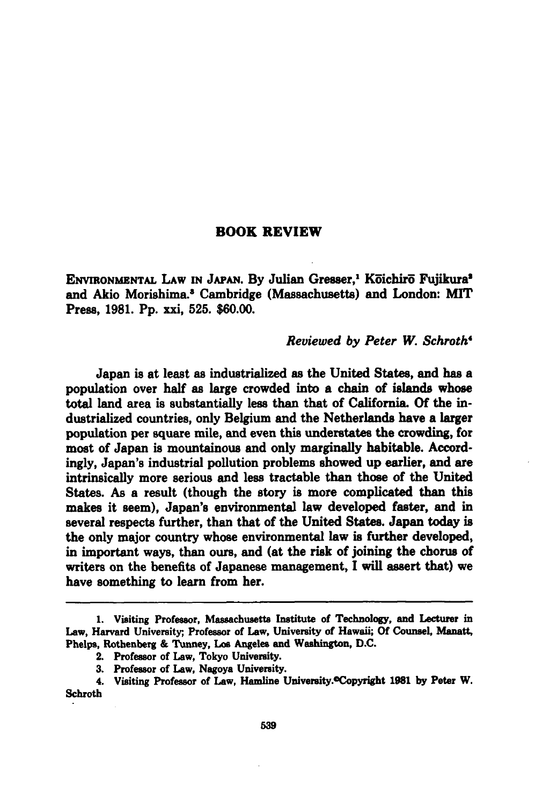#### BOOK REVIEW

ENVIRONMBNTAL LAW **IN JAPAN. By** Julian Gresser,' Koichir Fujikuras and Akio Morishima.' Cambridge (Massachusetts) and London: MIT Press, **1981. Pp.** xxi, **525. \$60.00.**

#### *Reviewed by Peter W. Schroth'*

Japan is at least as industrialized as the United States, and has a population over half as large crowded into a chain of islands whose total land area is substantially less than that of California. **Of** the industrialized countries, only Belgium and the Netherlands have a larger population per square mile, and even this understates the crowding, for most of Japan is mountainous and only marginally habitable. Accordingly, Japan's industrial pollution problems showed up earlier, and are intrinsically more serious and less tractable than those of the United States. As a result (though the story is more complicated than this makes it seem), Japan's environmental law developed faster, and in several respects further, than that of the United States. Japan today is the only major country whose environmental law is further developed, in important ways, than ours, and (at the risk of joining the chorus of writers on the benefits of Japanese management, **I** will assert that) we have something to learn from her.

**<sup>1.</sup>** Visiting Professor, Massachusetts Institute of Technology, and Lecturer in Law, Harvard University;, Professor of Law, University of Hawaii; **Of** Counsel, Manatt, Phelps, Rothenberg **&** Tunney, Los Angeles and Washington, **D.C.**

<sup>2.</sup> Professor of Law, Tokyo University.

**<sup>3.</sup>** Professor of Law, Nagoya University.

<sup>4.</sup> Visiting Professor of Law, Hamline University.OCopyright **1981 by** Peter W. Schroth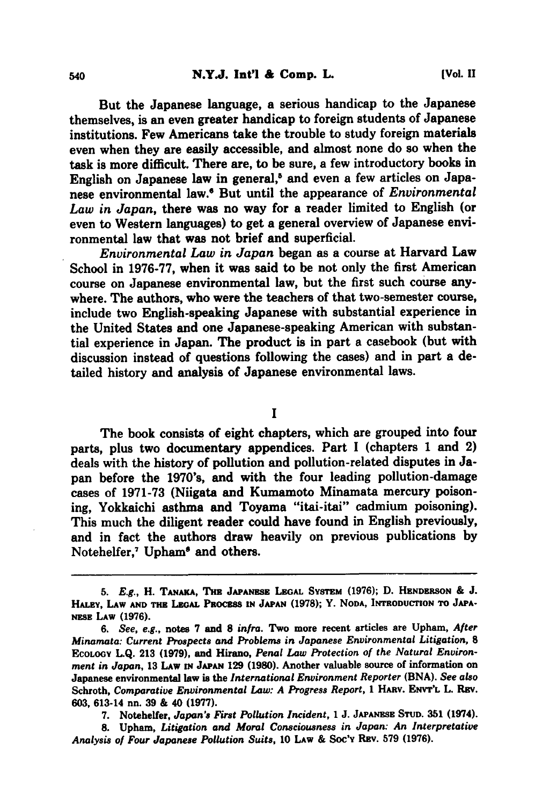But the Japanese language, a serious handicap to the Japanese themselves, is an even greater handicap to foreign students of Japanese institutions. Few Americans take the trouble to study foreign materials even when they are easily accessible, and almost none do so when the task is more difficult. There are, to be sure, a few introductory books in English on Japanese law in general,<sup>5</sup> and even a few articles on Japanese environmental law.' But until the appearance of *Environmental Law in Japan,* there was no way for a reader limited to English (or even to Western languages) to get a general overview of Japanese environmental law that was not brief and superficial.

*Environmental Law in Japan* began as a course at Harvard Law School in **1976-77,** when it was said to be not only the first American course on Japanese environmental law, but the first such course anywhere. The authors, who were the teachers of that two-semester course, include two English-speaking Japanese with substantial experience in the United States and one Japanese-speaking American with substantial experience in Japan. The product is in part a casebook (but with discussion instead of questions following the cases) and in part a detailed history and analysis of Japanese environmental laws.

**I**

The book consists of eight chapters, which are grouped into four parts, plus two documentary appendices. Part I (chapters **1** and 2) deals with the history of pollution and pollution-related disputes in Japan before the 1970's, and with the four leading pollution-damage cases of **1971-73** (Niigata and Kumamoto Minamata mercury poisoning, Yokkaichi asthma and Toyama "itai-itai" cadmium poisoning). This much the diligent reader could have found in English previously, and in fact the authors draw heavily on previous publications **by** Notehelfer,<sup>7</sup> Upham<sup>®</sup> and others.

**7.** Notehelfer, *Japan's First Pollution Incident,* **1 J. JAPANESE STUD. 351** (1974).

**8.** Upham, *Litigation and Moral Consciousness in Japan: An Interpretative Analysis of Four Japanese Pollution Suits,* **10** LAw **&** Soc'v REv. **579 (1976).**

*<sup>5.</sup>* **E.g.,** H. **TANAKA, Tm JAPANESE LEGAL SYSTm (1976); D. HENDERSON & J. HALEY, LAw AND THE LEGAL** PRoczss **IN JAPAN (1978);** Y. **NODA, INTRODUCTION TO JAPA-NzSz LAw (1976).**

*<sup>6.</sup> See, e.g.,* **notes 7** and **8** *infra.* Two more recent articles are Upham, *After Minamata: Current Prospects and Problems in Japanese Environmental Litigation,* **8 ECOLOGY L.Q. 213 (1979),** and Hirano, *Penal Law Protection of the Natural Environment in Japan,* **13** LAw **IN JAPAN 129 (1980).** Another valuable source of information on Japanese environmental law is the *International Environment Reporter* **(BNA).** *See also* Schroth, *Comparative Environmental Law: A Progress Report,* **1** Hav. **ENVT'L** L. Rav. **603,** 613-14 nn. **39 &** 40 **(1977).**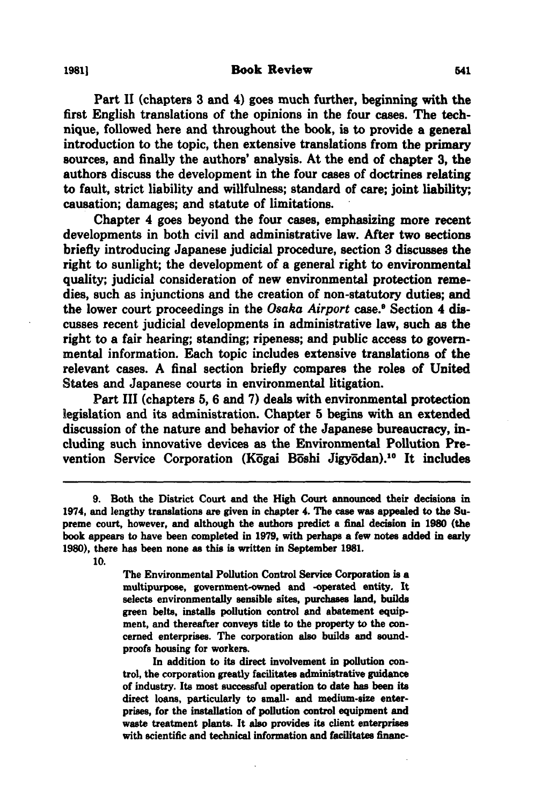Part **II** (chapters **3** and 4) goes much further, beginning with the first English translations of the opinions in the four cases. The technique, followed here and throughout the book, is to provide a general introduction to the topic, then extensive translations from the primary sources, and finally the authors' analysis. At the end of chapter **3,** the authors discuss the development in the four cases of doctrines relating to fault, strict liability and willfulness; standard of care; joint liability; causation; damages; and statute of limitations.

Chapter 4 goes beyond the four cases, emphasizing more recent developments in both civil and administrative law. After two sections briefly introducing Japanese judicial procedure, section **3** discusses the right to sunlight; the development of a general right to environmental quality; judicial consideration of new environmental protection remedies, such as injunctions and the creation of non-statutory duties; and the lower court proceedings in the *Osaka Airport* case.9 Section 4 discusses recent judicial developments in administrative law, such as the right to a fair hearing; standing; ripeness; and public access to governmental information. Each topic includes extensive translations of the relevant cases. **A** final section briefly compares the roles of United States and Japanese courts in environmental litigation.

Part III (chapters **5, 6** and **7)** deals with environmental protection legislation and its administration. Chapter **5** begins with an extended discussion of the nature and behavior of the Japanese bureaucracy, including such innovative devices as the Environmental Pollution Prevention Service Corporation (Kogai Boshi Jigyodan).<sup>10</sup> It includes

**10.**

The Environmental Pollution Control Service Corporation is a multipurpose, govemment-owned and -operated entity. It selects environmentally sensible sites, purchases **land,** builds green belts, installs pollution control and abatement equipment, and thereafter conveys title to the property to the concerned enterprises. The corporation also builds and soundproofs housing for workers.

In addition to its direct involvement in pollution control, the corporation greatly facilitates administrative guidance of industry. Its most successful operation to date has been its direct loans, particularly to small- and medium-size enterprises, for the installation of pollution control equipment and waste treatment plants. It also provides its client enterprises with scientific and technical information and facilitates financ-

**<sup>9.</sup>** Both the District Court and the High Court announced their decisions in 1974, and lengthy translations are given in chapter 4. The case was appealed to the Supreme court, however, and although the authors predict a final decision in **1980** (the book appears to have been completed in **1979,** with perhaps a few notes added in early **1980),** there has been none as this is written in September **1981.**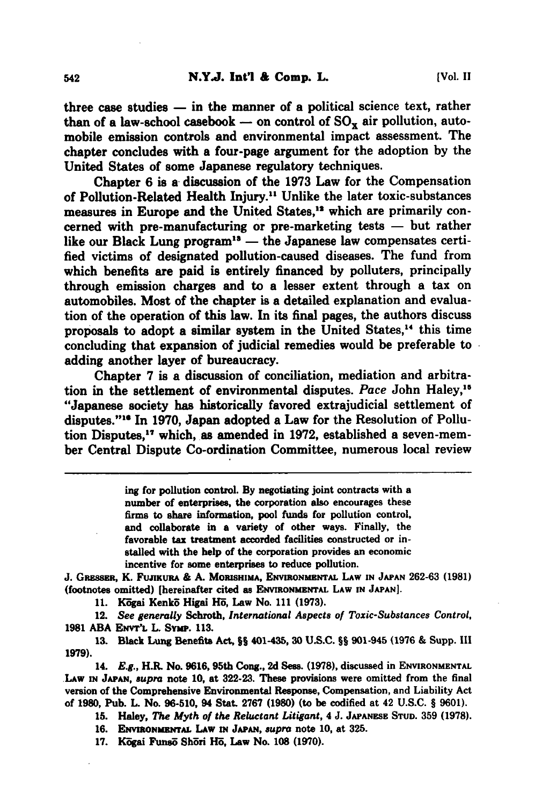three case studies **-** in the manner of a political science text, rather than of a law-school casebook  $-$  on control of  $SO_{\mathbf{x}}$  air pollution, automobile emission controls and environmental impact assessment. The chapter concludes with a four-page argument for the adoption **by** the United States of some Japanese regulatory techniques.

Chapter **6** is a discussion of the **1973** Law for the Compensation of Pollution-Related Health Injury." Unlike the later toxic-substances measures in Europe and the United States,<sup>12</sup> which are primarily concerned with pre-manufacturing or pre-marketing tests **-** but rather like our Black Lung program<sup>18</sup> — the Japanese law compensates certified victims of designated pollution-caused diseases. The fund from which benefits are paid is entirely financed **by** polluters, principally through emission charges and to a lesser extent through a tax on automobiles. Most of the chapter is a detailed explanation and evaluation of the operation of this law. In its final pages, the authors discuss proposals to adopt a similar system in the United States,<sup>14</sup> this time concluding that expansion of judicial remedies would be preferable to adding another layer of bureaucracy.

Chapter **7** is a discussion of conciliation, mediation and arbitration in the settlement of environmental disputes. Pace John Haley,<sup>15</sup> "Japanese society has historically favored extrajudicial settlement of disputes."<sup>16</sup> In 1970, Japan adopted a Law for the Resolution of Pollution Disputes,'7 which, as amended in **1972,** established a seven-member Central Dispute Co-ordination Committee, numerous local review

> **ing** for pollution control. **By** negotiating joint contracts with a number of enterprises, the corporation also encourages these firms to share information, pool funds for pollution control, and collaborate in a variety of other ways. Finally, the favorable tax treatment accorded facilities constructed or installed with the help of the corporation provides an economic incentive for some enterprises to reduce pollution.

**J.** GRssuR, K. **FUJIKURA & A. MORISHIMA, ENVIRONMENTAL LAW IN JAPAN 262-63 (1981)** (footnotes omitted) [hereinafter cited as **ENVIRONMENTAL LAW IN JAPAN].**

**11.** K-gai Kenko Higai H5, Law No. **111 (1973).**

12. *See generally* Schroth, *International Aspects of Toxic-Substances Control,* **1981 ABA ENVT'L L.** Svmp. **113.**

**13.** Black Lung Benefits Act, **§§** 401-43, **30 U.S.C. §§** 901-945 **(1976 &** Supp. **IlI 1979).**

14. *E.g.,* H.R. No. 9616,95th Cong., 2d **Ses.** (1978), discussed in **ENVIRONMENTAL LAW IN JAPAN,** *supra* **note 10,** at **322-23.** These provisions were omitted from the final version of the Comprehensive Environmental Response, Compensation, and Liability Act of **1980,** Pub. L No. **96-510,** 94 Stat. **2767 (1980)** (to be codified at 42 **U.S.C. § 9601).**

**15.** Haley, *The Myth of the Reluctant Litigant,* 4 **J. JAPANESE STUD. 359 (1978).**

**16. ENVIRONMENTAL** LAW **IN JAPAN,** *supra* note **10,** at **325.**

17. **Kögai Funsö Shöri Hö, Law No. 108 (1970).**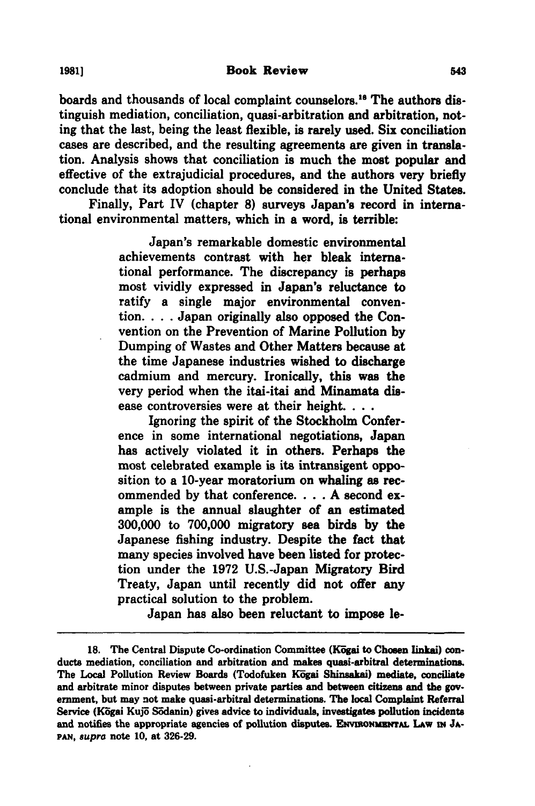boards and thousands of local complaint counselors.18 The authors distinguish mediation, conciliation, quasi-arbitration and arbitration, noting that the last, being the least flexible, is rarely used. Six conciliation cases are described, and the resulting agreements are given in translation. Analysis shows that conciliation is much the most popular and effective of the extrajudicial procedures, and the authors very briefly conclude that its adoption should be considered in the United States.

Finally, Part IV (chapter **8)** surveys Japan's record in international environmental matters, which in a word, is terrible:

> Japan's remarkable domestic environmental achievements contrast with her bleak international performance. The discrepancy is perhaps most vividly expressed in Japan's reluctance to ratify a single major environmental convention **....** Japan originally also opposed the Convention on the Prevention of Marine Pollution **by** Dumping of Wastes and Other Matters because at the time Japanese industries wished to discharge cadmium and mercury. Ironically, this was the very period when the itai-itai and Minamata disease controversies were at their height....

> Ignoring the spirit of the Stockholm Conference in some international negotiations, Japan has actively violated it in others. Perhaps the most celebrated example is its intransigent opposition to a 10-year moratorium on whaling as recommended **by** that conference .... **A** second example is the annual slaughter of an estimated **300,000** to **700,000** migratory sea birds **by** the Japanese fishing industry. Despite the fact that many species involved have been listed for protection under the **1972** U.S.-Japan Migratory Bird Treaty, Japan until recently did not offer any practical solution to the problem.

Japan has also been reluctant to impose le-

<sup>18.</sup> The Central Dispute Co-ordination Committee (Kogai to Chosen linkai) conducts mediation, conciliation and arbitration and makes quasi-arbitral determinations. The Local Pollution Review Boards (Todofuken Kogai Shinsakai) mediate, conciliate and arbitrate minor disputes between private parties and between citizens and the government, but may not make quasi-arbitral determinations. The local Complaint Referral Service (Kōgai Kujō Sōdanin) gives advice to individuals, investigates pollution incidents and notifies the appropriate agencies of pollution disputes. ENVIRONMENTAL LAW IN JA-*PAN, supra* note **10,** at **326-29.**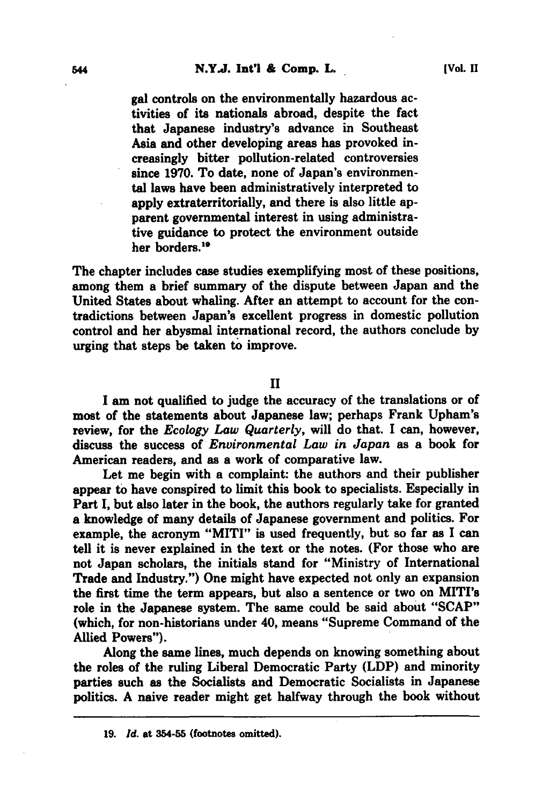gal controls on the environmentally hazardous activities of its nationals abroad, despite the fact that Japanese industry's advance in Southeast Asia and other developing areas has provoked increasingly bitter pollution-related controversies since **1970.** To date, none of Japan's environmental laws have been administratively interpreted to apply extraterritorially, and there is also little apparent governmental interest in using administrative guidance to protect the environment outside her borders.<sup>19</sup>

The chapter includes case studies exemplifying most of these positions, among them a brief summary of the dispute between Japan and the United States about whaling. After an attempt to account for the contradictions between Japan's excellent progress in domestic pollution control and her abysmal international record, the authors conclude **by** urging that steps be taken **to** improve.

**II**

**I** am not qualified to judge the accuracy of the translations or of most of the statements about Japanese law; perhaps Frank Upham's review, for the *Ecology Law Quarterly,* will do that. **I** can, however, discuss the success of *Environmental Law in Japan* as a book for American readers, and as a work of comparative law.

Let me begin with a complaint: the authors and their publisher appear to have conspired to limit this book to specialists. Especially in Part **I,** but also later in the book, the authors regularly take for granted a knowledge of many details of Japanese government and politics. For example, the acronym "MITI" is used frequently, but so far as I can tell it is never explained in the text or the notes. (For those who are not Japan scholars, the initials stand for "Ministry of International Trade and Industry.") One might have expected not only an expansion the first time the term appears, but also a sentence or two on MITI's role in the Japanese system. The same could be said about **"SCAP"** (which, for non-historians under 40, means "Supreme Command of the Allied Powers").

Along the same lines, much depends on knowing something about the roles of the ruling Liberal Democratic Party (LDP) and minority parties such as the Socialists and Democratic Socialists in Japanese politics. **A** naive reader might get halfway through the book without

**<sup>19.</sup>** *Id.* at 354-55 (footnotes omitted).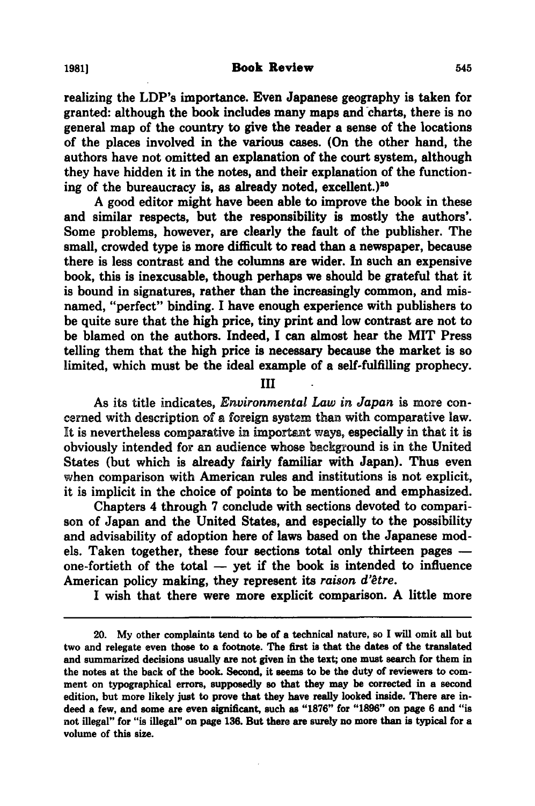realizing the LDP's importance. Even Japanese geography is taken for granted: although the book includes many maps and charts, there is no general map of the country to give the reader a sense of the locations of the places involved in the various cases. (On the other hand, the authors have not omitted an explanation of the court system, although they have hidden it in the notes, and their explanation of the functioning of the bureaucracy is, as already noted, excellent.)<sup>20</sup>

**A** good editor might have been able to improve the book in these and similar respects, but the responsibility is mostly the authors'. Some problems, however, are clearly the fault of the publisher. The small, crowded type is more difficult to read than a newspaper, because there is less contrast and the columns are wider. In such an expensive book, this is inexcusable, though perhaps we should be grateful that it is bound in signatures, rather than the increasingly common, and misnamed, "perfect" binding. I have enough experience with publishers to be quite sure that the high price, tiny print and low contrast are not to be blamed on the authors. Indeed, **I** can almost hear the MIT Press telling them that the high price is necessary because the market is so limited, which must be the ideal example of a self-fulfilling prophecy.

**III**

As its title indicates, *Environmental Law in Japan* is more concerned with description of a foreign system than with comparative law. It is nevertheless comparative in important ways, especially in that it is obviously intended for an audience whose background is in the United States (but which is already fairly familiar with Japan). Thus even when comparison with American rules and institutions is not explicit, it is implicit in the choice of points to be mentioned and emphasized.

Chapters 4 through **7** conclude with sections devoted to comparison of Japan and the United States, and especially to the possibility and advisability of adoption here of laws based on the Japanese models. Taken together, these four sections total only thirteen pages  one-fortieth of the total  $-$  yet if the book is intended to influence American policy making, they represent its *raison d'9tre.*

**I** wish that there were more explicit comparison. **A** little more

<sup>20.</sup> **My** other complaints tend to be of a technical nature, so **I** will omit all but two and relegate even those to a footnote. The first is that the dates of the translated and summarized decisions usually are not given in the text; one must search for them in the notes at the back of the book. Second, it seems to be the duty of reviewers to comment on typographical errors, supposedly so that they may be corrected in a second edition, but more likely just to prove that they have really looked inside. There are indeed a few, and some are even significant, such **as "1876"** for **"1896"** on page **6** and "is not illegal" for "is illegal" on page **136.** But there are surely no more than is typical for a volume of this size.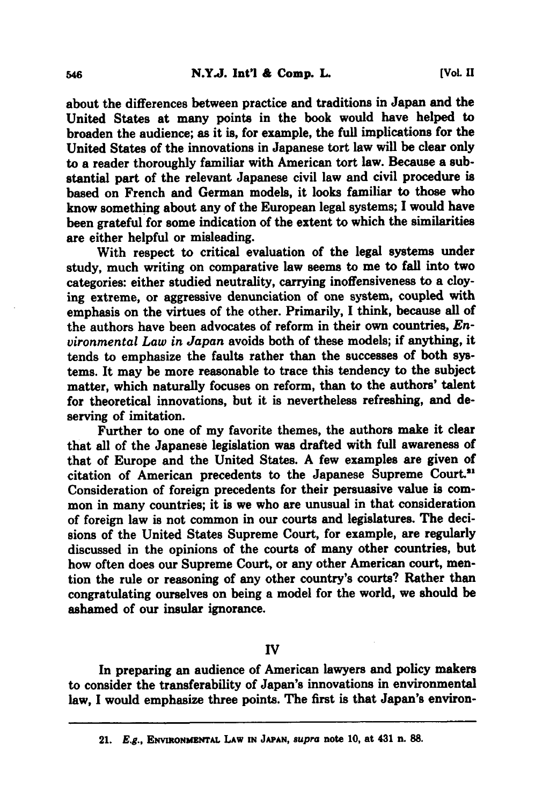about the differences between practice and traditions in Japan and the United States at many points in the book would have helped to broaden the audience; as it is, for example, the full implications for the United States of the innovations in Japanese tort law **will** be clear only to a reader thoroughly familiar with American tort law. Because a substantial part of the relevant Japanese civil law and civil procedure is based on French and German models, it looks familiar to those who know something about any of the European legal systems; I would have been grateful for some indication of the extent to which the similarities are either helpful or misleading.

With respect to critical evaluation of the legal systems under study, much writing on comparative law seems to me to fall into two categories: either studied neutrality, carrying inoffensiveness to a cloying extreme, or aggressive denunciation of one system, coupled with emphasis on the virtues of the other. Primarily, **I** think, because all of the authors have been advocates of reform in their own countries, *Environmental Law in Japan* avoids both of these models; if anything, it tends to emphasize the faults rather than the successes of both systems. It may be more reasonable to trace this tendency to the subject matter, which naturally focuses on reform, than to the authors' talent for theoretical innovations, but it is nevertheless refreshing, and deserving of imitation.

Further to one of my favorite themes, the authors make it clear that all of the Japanese legislation was drafted with full awareness of that of Europe and the United States. **A** few examples are given of citation of American precedents to the Japanese Supreme Court." Consideration of foreign precedents for their persuasive value is common in many countries; it is we who are unusual in that consideration of foreign law is not common in our courts and legislatures. The decisions of the United States Supreme Court, for example, are regularly discussed in the opinions of the courts of many other countries, but how often does our Supreme Court, or any other American court, mention the rule or reasoning of any other country's courts? Rather than congratulating ourselves on being a model for the world, we should be ashamed of our insular ignorance.

#### **IV**

In preparing an audience of American lawyers and policy makers to consider the transferability of Japan's innovations in environmental law, I would emphasize three points. The first is that Japan's environ-

<sup>21.</sup> **E.g.,** ENVmONuzrAL LAw **IN JAPAN,** *supra* note **10,** at 431 n. **88.**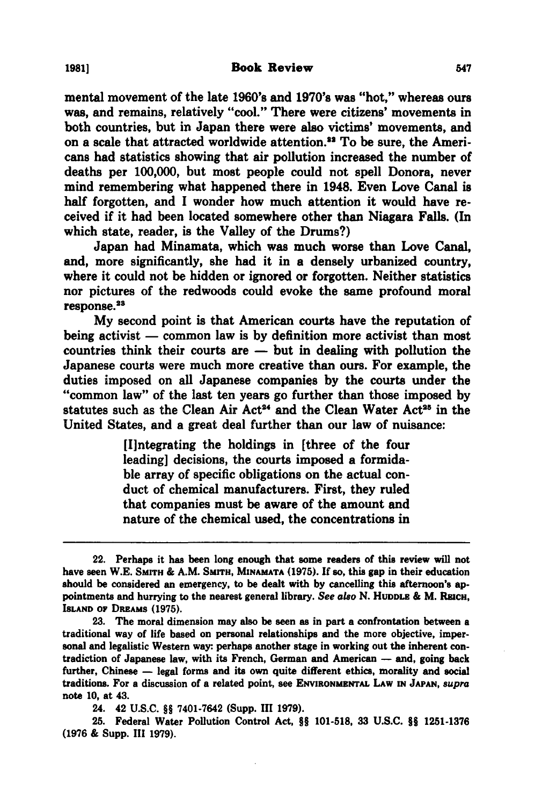mental movement of the late **1960's** and 1970's was "hot," whereas ours was, and remains, relatively "cool." There were citizens' movements in both countries, but in Japan there were also victims' movements, and on a scale that attracted worldwide attention.<sup>22</sup> To be sure, the Americans had statistics showing that air pollution increased the number of deaths per **100,000,** but most people could not spell Donora, never mind remembering what happened there in 1948. Even Love Canal is half forgotten, and I wonder how much attention it would have received if it had been located somewhere other than Niagara Falls. (In which state, reader, is the Valley of the Drums?)

Japan had Minamata, which was much worse than Love Canal, and, more significantly, she had it in a densely urbanized country, where it could not be hidden or ignored or forgotten. Neither statistics nor pictures of the redwoods could evoke the same profound moral response.<sup>23</sup>

**My** second point is that American courts have the reputation of being activist - common law is **by** definition more activist than most countries think their courts are **-** but in dealing with pollution the Japanese courts were much more creative than ours. For example, the duties imposed on all Japanese companies **by** the courts under the "common law" of the last ten years go further than those imposed **by** statutes such as the Clean Air Act<sup>24</sup> and the Clean Water Act<sup>26</sup> in the United States, and a great deal further than our law of nuisance:

> [I]ntegrating the holdings in [three of the four leading] decisions, the courts imposed a formidable array of specific obligations on the actual conduct of chemical manufacturers. First, they ruled that companies must be aware of the amount and nature of the chemical used, the concentrations in

24. 42 **U.S.C. §§** 7401-7642 (Supp. **II 1979).**

**25.** Federal Water Pollution Control Act, **§§ 101-518, 33 U.S.C. J§ 1251-1376 (1976 &** Supp. **III 1979).**

<sup>22.</sup> Perhaps it has been long enough that some readers of this review **will** not have seen W.E. SMITH & A.M. SMITH, MINAMATA (1975). If so, this gap in their education should be considered an emergency, to be dealt with **by** cancelling this afternoon's appointments and hurrying to the nearest general library. *See also* **N.** HUDDLE **&** M. **RmcH,** ISLAND or DREAMS **(1975).**

**<sup>23.</sup>** The moral dimension may also be seen as in part a confrontation between a traditional way of life based on personal relationships and the more objective, impersonal and legalistic Western way: perhaps another stage in working out the inherent contradiction of Japanese law, with its French, German and American **-** and, going back further, Chinese **-** legal forms and its own quite different ethics, morality and social traditions. For a discussion of a related point, see **ENVIRONMENTAL** LAw **IN JAPAN,** *supra* note **10,** at 43.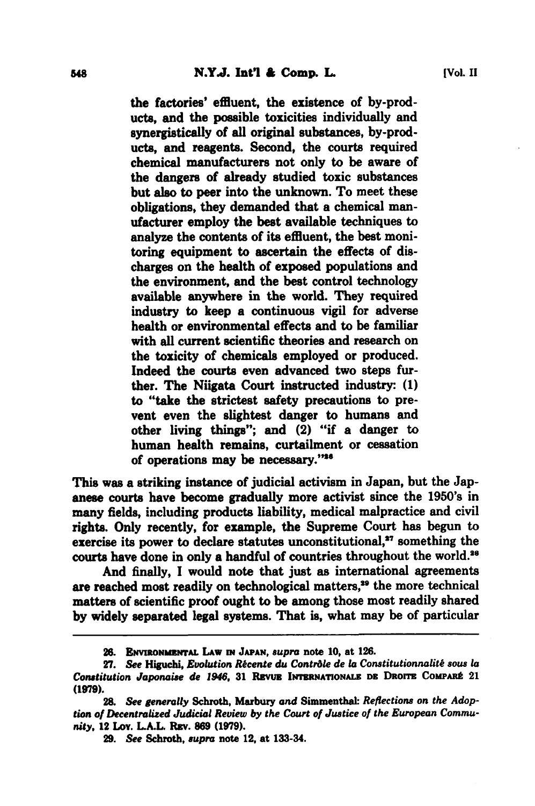the factories' effluent, the existence of by-products, and the possible toxicities individually and synergistically of all original substances, by-products, and reagents. Second, the courts required chemical manufacturers not only to be aware of the dangers of already studied toxic substances but also to peer into the unknown. To meet these obligations, they demanded that a chemical manufacturer employ the best available techniques to analyze the contents of its effluent, the best monitoring equipment to ascertain the effects of discharges on the health of exposed populations and the environment, and the best control technology available anywhere in the world. They required industry to keep a continuous vigil for adverse health or environmental effects and to be familiar with all current scientific theories and research on the toxicity of chemicals employed or produced. Indeed the courts even advanced two steps further. The Niigata Court instructed industry: **(1)** to "take the strictest safety precautions to prevent even the slightest danger to humans and other living things"; and (2) "if a danger to human health remains, curtailment or cessation of operations may be necessary."\*\*

This was a striking instance of judicial activism in Japan, but the Japanese courts have become gradually more activist since the 1950's in many fields, including products liability, medical malpractice and civil rights. Only recently, for example, the Supreme Court has begun **to** exercise its power to declare statutes unconstitutional,<sup>27</sup> something the courts have done in only a handful of countries throughout the world.<sup>26</sup>

And finally, **I** would note that just as international agreements are reached most readily on technological matters,<sup>29</sup> the more technical matters of scientific proof ought to be among those most readily shared **by** widely separated legal systems. That is, what may be of particular

<sup>26.</sup> **ENVIRONMENTAL LAW IN JAPAN, supra note 10, at 126.** 

<sup>27.</sup> See Higuchi, Evolution Récente du Contrôle de la Constitutionnalité sous la *Constitution Japonaise* **de** *1946,* **31 Rrvu INTmNAIIONALz Dz Daorr ComPAtI 21 (1979).**

<sup>28.</sup> See generally Schroth, Marbury and Simmenthal: Reflections on the Adop*tion of Decentralized Judicial Review by the Court of Justice of the European Community,* **12 Lov. LA.L Rav. 869 (1979).**

**<sup>29.</sup>** *See* **Schroth,** *supra* **note 12, at 133-34.**